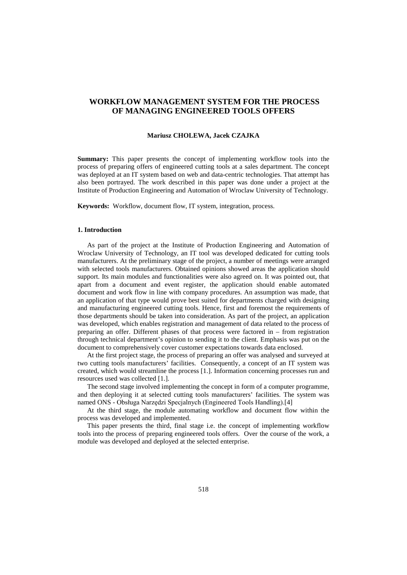# **WORKFLOW MANAGEMENT SYSTEM FOR THE PROCESS OF MANAGING ENGINEERED TOOLS OFFERS**

#### **Mariusz CHOLEWA, Jacek CZAJKA**

**Summary:** This paper presents the concept of implementing workflow tools into the process of preparing offers of engineered cutting tools at a sales department. The concept was deployed at an IT system based on web and data-centric technologies. That attempt has also been portrayed. The work described in this paper was done under a project at the Institute of Production Engineering and Automation of Wroclaw University of Technology.

**Keywords:** Workflow, document flow, IT system, integration, process.

## **1. Introduction**

As part of the project at the Institute of Production Engineering and Automation of Wroclaw University of Technology, an IT tool was developed dedicated for cutting tools manufacturers. At the preliminary stage of the project, a number of meetings were arranged with selected tools manufacturers. Obtained opinions showed areas the application should support. Its main modules and functionalities were also agreed on. It was pointed out, that apart from a document and event register, the application should enable automated document and work flow in line with company procedures. An assumption was made, that an application of that type would prove best suited for departments charged with designing and manufacturing engineered cutting tools. Hence, first and foremost the requirements of those departments should be taken into consideration. As part of the project, an application was developed, which enables registration and management of data related to the process of preparing an offer. Different phases of that process were factored in – from registration through technical department's opinion to sending it to the client. Emphasis was put on the document to comprehensively cover customer expectations towards data enclosed.

At the first project stage, the process of preparing an offer was analysed and surveyed at two cutting tools manufacturers' facilities. Consequently, a concept of an IT system was created, which would streamline the process [\[1.\]](#page-6-0). Information concerning processes run and resources used was collected [\[1.\]](#page-6-0).

The second stage involved implementing the concept in form of a computer programme, and then deploying it at selected cutting tools manufacturers' facilities. The system was named ONS - Obsługa Narzędzi Specjalnych (Engineered Tools Handling).[4]

At the third stage, the module automating workflow and document flow within the process was developed and implemented.

This paper presents the third, final stage i.e. the concept of implementing workflow tools into the process of preparing engineered tools offers. Over the course of the work, a module was developed and deployed at the selected enterprise.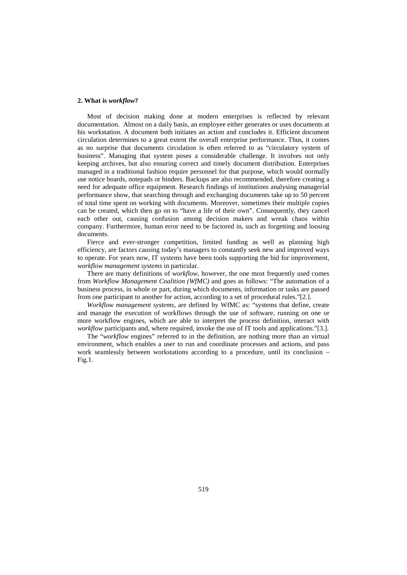# **2. What is** *workflow***?**

Most of decision making done at modern enterprises is reflected by relevant documentation. Almost on a daily basis, an employee either generates or uses documents at his workstation. A document both initiates an action and concludes it. Efficient document circulation determines to a great extent the overall enterprise performance. Thus, it comes as no surprise that documents circulation is often referred to as "circulatory system of business". Managing that system poses a considerable challenge. It involves not only keeping archives, but also ensuring correct and timely document distribution. Enterprises managed in a traditional fashion require personnel for that purpose, which would normally use notice boards, notepads or binders. Backups are also recommended, therefore creating a need for adequate office equipment. Research findings of institutions analysing managerial performance show, that searching through and exchanging documents take up to 50 percent of total time spent on working with documents. Moreover, sometimes their multiple copies can be created, which then go on to "have a life of their own". Consequently, they cancel each other out, causing confusion among decision makers and wreak chaos within company. Furthermore, human error need to be factored in, such as forgetting and loosing documents.

Fierce and ever-stronger competition, limited funding as well as planning high efficiency, are factors causing today's managers to constantly seek new and improved ways to operate. For years now, IT systems have been tools supporting the bid for improvement, *workflow management systems* in particular.

There are many definitions of *workflow*, however, the one most frequently used comes from *Workflow Management Coalition (WfMC)* and goes as follows: "The automation of a business process, in whole or part, during which documents, information or tasks are passed from one participant to another for action, according to a set of procedural rules."[\[2.\]](#page-6-1).

*Workflow management systems*, are defined by WfMC as: "systems that define, create and manage the execution of workflows through the use of software, running on one or more workflow engines, which are able to interpret the process definition, interact with *workflow* participants and, where required, invoke the use of IT tools and applications."[\[3.\]](#page-6-2).

The "*workflow* engines" referred to in the definition, are nothing more than an virtual environment, which enables a user to run and coordinate processes and actions, and pass work seamlessly between workstations according to a procedure, until its conclusion – Fig.1.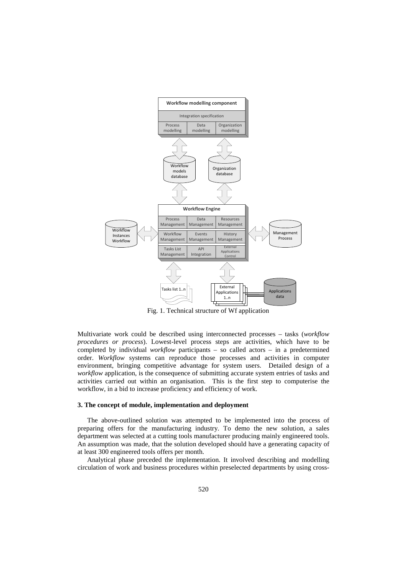

Fig. 1. Technical structure of Wf application

Multivariate work could be described using interconnected processes – tasks (*workflow procedures or process*). Lowest-level process steps are activities, which have to be completed by individual *workflow* participants – so called actors – in a predetermined order. *Workflow* systems can reproduce those processes and activities in computer environment, bringing competitive advantage for system users. Detailed design of a *workflow* application, is the consequence of submitting accurate system entries of tasks and activities carried out within an organisation. This is the first step to computerise the workflow, in a bid to increase proficiency and efficiency of work.

#### **3. The concept of module, implementation and deployment**

The above-outlined solution was attempted to be implemented into the process of preparing offers for the manufacturing industry. To demo the new solution, a sales department was selected at a cutting tools manufacturer producing mainly engineered tools. An assumption was made, that the solution developed should have a generating capacity of at least 300 engineered tools offers per month.

Analytical phase preceded the implementation. It involved describing and modelling circulation of work and business procedures within preselected departments by using cross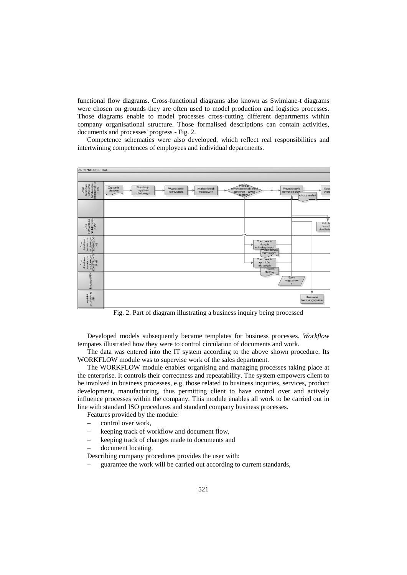functional flow diagrams. Cross-functional diagrams also known as Swimlane-t diagrams were chosen on grounds they are often used to model production and logistics processes. Those diagrams enable to model processes cross-cutting different departments within company organisational structure. Those formalised descriptions can contain activities, documents and processes' progress - Fig. 2.

Competence schematics were also developed, which reflect real responsibilities and intertwining competences of employees and individual departments.



Fig. 2. Part of diagram illustrating a business inquiry being processed

Developed models subsequently became templates for business processes. *Workflow* tempates illustrated how they were to control circulation of documents and work.

The data was entered into the IT system according to the above shown procedure. Its WORKFLOW module was to supervise work of the sales department.

The WORKFLOW module enables organising and managing processes taking place at the enterprise. It controls their correctness and repeatability. The system empowers client to be involved in business processes, e.g. those related to business inquiries, services, product development, manufacturing, thus permitting client to have control over and actively influence processes within the company. This module enables all work to be carried out in line with standard ISO procedures and standard company business processes.

Features provided by the module:

- − control over work,
- keeping track of workflow and document flow,
- keeping track of changes made to documents and
- − document locating.

Describing company procedures provides the user with:

guarantee the work will be carried out according to current standards,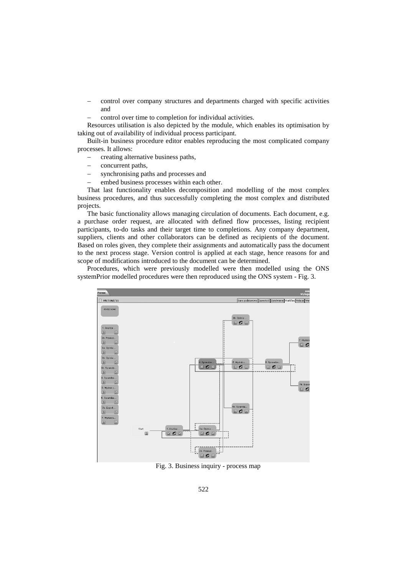- control over company structures and departments charged with specific activities and
- control over time to completion for individual activities.

Resources utilisation is also depicted by the module, which enables its optimisation by taking out of availability of individual process participant.

Built-in business procedure editor enables reproducing the most complicated company processes. It allows:

- − creating alternative business paths,
- concurrent paths,
- synchronising paths and processes and
- embed business processes within each other.

That last functionality enables decomposition and modelling of the most complex business procedures, and thus successfully completing the most complex and distributed projects.

The basic functionality allows managing circulation of documents. Each document, e.g. a purchase order request, are allocated with defined flow processes, listing recipient participants, to-do tasks and their target time to completions. Any company department, suppliers, clients and other collaborators can be defined as recipients of the document. Based on roles given, they complete their assignments and automatically pass the document to the next process stage. Version control is applied at each stage, hence reasons for and scope of modifications introduced to the document can be determined.

Procedures, which were previously modelled were then modelled using the ONS systemPrior modelled procedures were then reproduced using the ONS system - Fig. 3.



Fig. 3. Business inquiry - process map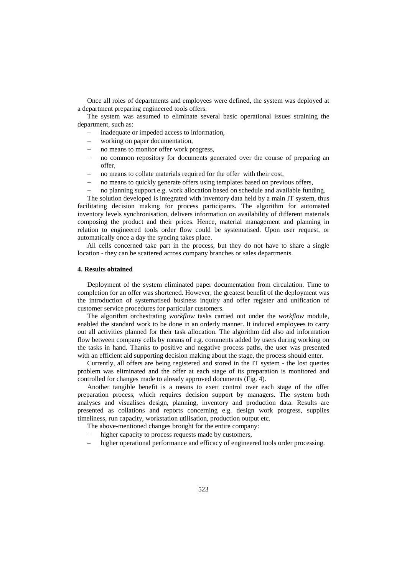Once all roles of departments and employees were defined, the system was deployed at a department preparing engineered tools offers.

The system was assumed to eliminate several basic operational issues straining the department, such as:

- inadequate or impeded access to information,
- working on paper documentation,
- no means to monitor offer work progress,
- no common repository for documents generated over the course of preparing an offer,
- no means to collate materials required for the offer with their cost,
- no means to quickly generate offers using templates based on previous offers,
- no planning support e.g. work allocation based on schedule and available funding.

The solution developed is integrated with inventory data held by a main IT system, thus facilitating decision making for process participants. The algorithm for automated inventory levels synchronisation, delivers information on availability of different materials composing the product and their prices. Hence, material management and planning in relation to engineered tools order flow could be systematised. Upon user request, or automatically once a day the syncing takes place.

All cells concerned take part in the process, but they do not have to share a single location - they can be scattered across company branches or sales departments.

## **4. Results obtained**

Deployment of the system eliminated paper documentation from circulation. Time to completion for an offer was shortened. However, the greatest benefit of the deployment was the introduction of systematised business inquiry and offer register and unification of customer service procedures for particular customers.

The algorithm orchestrating *workflow* tasks carried out under the *workflow* module, enabled the standard work to be done in an orderly manner. It induced employees to carry out all activities planned for their task allocation. The algorithm did also aid information flow between company cells by means of e.g. comments added by users during working on the tasks in hand. Thanks to positive and negative process paths, the user was presented with an efficient aid supporting decision making about the stage, the process should enter.

Currently, all offers are being registered and stored in the IT system - the lost queries problem was eliminated and the offer at each stage of its preparation is monitored and controlled for changes made to already approved documents (Fig. 4).

Another tangible benefit is a means to exert control over each stage of the offer preparation process, which requires decision support by managers. The system both analyses and visualises design, planning, inventory and production data. Results are presented as collations and reports concerning e.g. design work progress, supplies timeliness, run capacity, workstation utilisation, production output etc.

The above-mentioned changes brought for the entire company:

- higher capacity to process requests made by customers,
- higher operational performance and efficacy of engineered tools order processing.